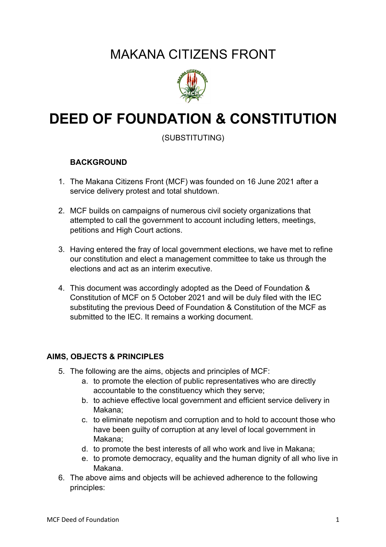## MAKANA CITIZENS FRONT



# **DEED OF FOUNDATION & CONSTITUTION**

(SUBSTITUTING)

#### **BACKGROUND**

- 1. The Makana Citizens Front (MCF) was founded on 16 June 2021 after a service delivery protest and total shutdown.
- 2. MCF builds on campaigns of numerous civil society organizations that attempted to call the government to account including letters, meetings, petitions and High Court actions.
- 3. Having entered the fray of local government elections, we have met to refine our constitution and elect a management committee to take us through the elections and act as an interim executive.
- 4. This document was accordingly adopted as the Deed of Foundation & Constitution of MCF on 5 October 2021 and will be duly filed with the IEC substituting the previous Deed of Foundation & Constitution of the MCF as submitted to the IEC. It remains a working document.

#### **AIMS, OBJECTS & PRINCIPLES**

- 5. The following are the aims, objects and principles of MCF:
	- a. to promote the election of public representatives who are directly accountable to the constituency which they serve;
	- b. to achieve effective local government and efficient service delivery in Makana;
	- c. to eliminate nepotism and corruption and to hold to account those who have been guilty of corruption at any level of local government in Makana;
	- d. to promote the best interests of all who work and live in Makana;
	- e. to promote democracy, equality and the human dignity of all who live in Makana.
- 6. The above aims and objects will be achieved adherence to the following principles: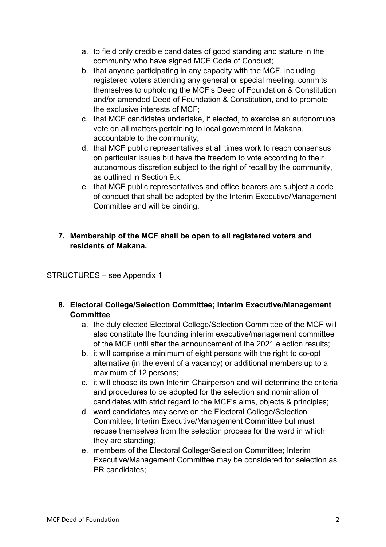- a. to field only credible candidates of good standing and stature in the community who have signed MCF Code of Conduct;
- b. that anyone participating in any capacity with the MCF, including registered voters attending any general or special meeting, commits themselves to upholding the MCF's Deed of Foundation & Constitution and/or amended Deed of Foundation & Constitution, and to promote the exclusive interests of MCF;
- c. that MCF candidates undertake, if elected, to exercise an autonomuos vote on all matters pertaining to local government in Makana, accountable to the community;
- d. that MCF public representatives at all times work to reach consensus on particular issues but have the freedom to vote according to their autonomous discretion subject to the right of recall by the community, as outlined in Section 9.k;
- e. that MCF public representatives and office bearers are subject a code of conduct that shall be adopted by the Interim Executive/Management Committee and will be binding.

#### **7. Membership of the MCF shall be open to all registered voters and residents of Makana.**

#### STRUCTURES – see Appendix 1

- **8. Electoral College/Selection Committee; Interim Executive/Management Committee**
	- a. the duly elected Electoral College/Selection Committee of the MCF will also constitute the founding interim executive/management committee of the MCF until after the announcement of the 2021 election results;
	- b. it will comprise a minimum of eight persons with the right to co-opt alternative (in the event of a vacancy) or additional members up to a maximum of 12 persons;
	- c. it will choose its own Interim Chairperson and will determine the criteria and procedures to be adopted for the selection and nomination of candidates with strict regard to the MCF's aims, objects & principles;
	- d. ward candidates may serve on the Electoral College/Selection Committee; Interim Executive/Management Committee but must recuse themselves from the selection process for the ward in which they are standing;
	- e. members of the Electoral College/Selection Committee; Interim Executive/Management Committee may be considered for selection as PR candidates;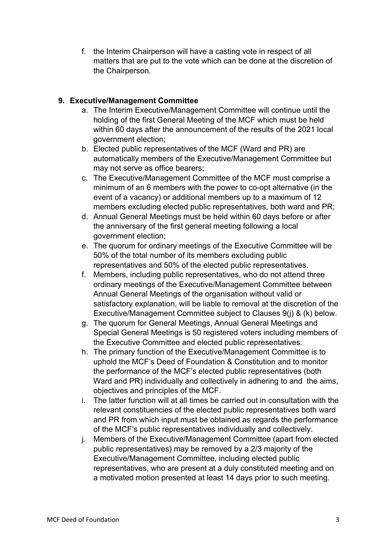f. the Interim Chairperson will have a casting vote in respect of all matters that are put to the vote which can be done at the discretion of the Chairperson.

#### **9. Executive/Management Committee**

- a. The Interim Executive/Management Committee will continue until the holding of the first General Meeting of the MCF which must be held within 60 days after the announcement of the results of the 2021 local government election;
- b. Elected public representatives of the MCF (Ward and PR) are automatically members of the Executive/Management Committee but may not serve as office bearers;
- c. The Executive/Management Committee of the MCF must comprise a minimum of an 6 members with the power to co-opt alternative (in the event of a vacancy) or additional members up to a maximum of 12 members excluding elected public representatives, both ward and PR;
- d. Annual General Meetings must be held within 60 days before or after the anniversary of the first general meeting following a local government election;
- e. The quorum for ordinary meetings of the Executive Committee will be 50% of the total number of its members excluding public representatives and 50% of the elected public representatives.
- f. Members, including public representatives, who do not attend three ordinary meetings of the Executive/Management Committee between Annual General Meetings of the organisation without valid or satisfactory explanation, will be liable to removal at the discretion of the Executive/Management Committee subject to Clauses 9(j) & (k) below.
- g. The quorum for General Meetings, Annual General Meetings and Special General Meetings is 50 registered voters including members of the Executive Committee and elected public representatives.
- h. The primary function of the Executive/Management Committee is to uphold the MCF's Deed of Foundation & Constitution and to monitor the performance of the MCF's elected public representatives (both Ward and PR) individually and collectively in adhering to and the aims, objectives and principles of the MCF.
- i. The latter function will at all times be carried out in consultation with the relevant constituencies of the elected public representatives both ward and PR from which input must be obtained as regards the performance of the MCF's public representatives individually and collectively.
- j. Members of the Executive/Management Committee (apart from elected public representatives) may be removed by a 2/3 majority of the Executive/Management Committee, including elected public representatives, who are present at a duly constituted meeting and on a motivated motion presented at least 14 days prior to such meeting.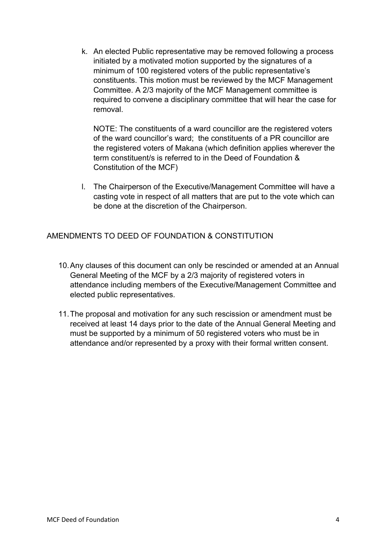k. An elected Public representative may be removed following a process initiated by a motivated motion supported by the signatures of a minimum of 100 registered voters of the public representative's constituents. This motion must be reviewed by the MCF Management Committee. A 2/3 majority of the MCF Management committee is required to convene a disciplinary committee that will hear the case for removal.

NOTE: The constituents of a ward councillor are the registered voters of the ward councillor's ward; the constituents of a PR councillor are the registered voters of Makana (which definition applies wherever the term constituent/s is referred to in the Deed of Foundation & Constitution of the MCF)

l. The Chairperson of the Executive/Management Committee will have a casting vote in respect of all matters that are put to the vote which can be done at the discretion of the Chairperson.

AMENDMENTS TO DEED OF FOUNDATION & CONSTITUTION

- 10.Any clauses of this document can only be rescinded or amended at an Annual General Meeting of the MCF by a 2/3 majority of registered voters in attendance including members of the Executive/Management Committee and elected public representatives.
- 11.The proposal and motivation for any such rescission or amendment must be received at least 14 days prior to the date of the Annual General Meeting and must be supported by a minimum of 50 registered voters who must be in attendance and/or represented by a proxy with their formal written consent.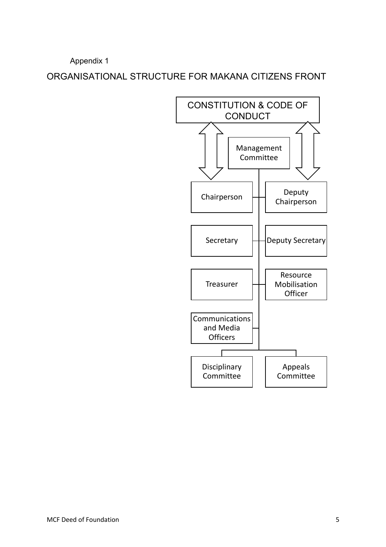Appendix 1

ORGANISATIONAL STRUCTURE FOR MAKANA CITIZENS FRONT